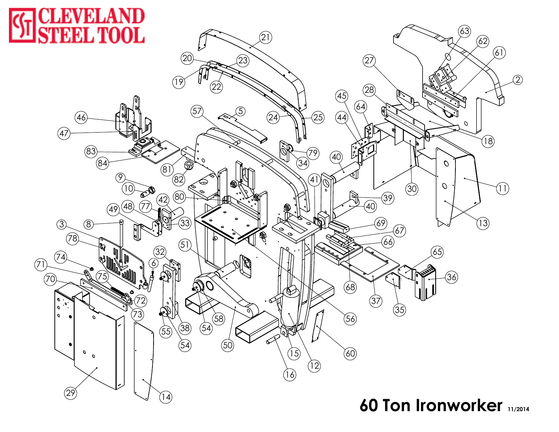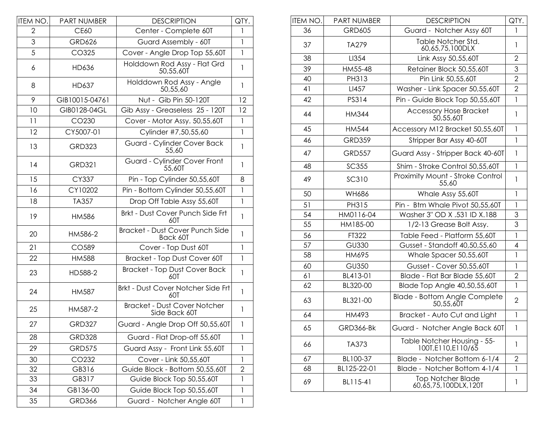| ITEM NO. | <b>PART NUMBER</b> | <b>DESCRIPTION</b>                                   | QTY.           |
|----------|--------------------|------------------------------------------------------|----------------|
| 2        | <b>CE60</b>        | Center - Complete 60T                                | 1              |
| 3        | <b>GRD626</b>      | Guard Assembly - 60T                                 | 1              |
| 5        | CO325              | Cover - Angle Drop Top 55,60T                        | 1              |
| 6        | HD636              | Holddown Rod Assy - Flat Grd<br>50,55,601            | 1              |
| 8        | HD637              | Holddown Rod Assy - Angle<br>50,55,60                | $\mathbf{1}$   |
| 9        | GIB10015-04761     | Nut - Gib Pin 50-120T                                | 12             |
| 10       | GIB0128-04GL       | Gib Assy - Greaseless 25 - 120T                      | 12             |
| 11       | CO230              | Cover - Motor Assy. 50,55,60T                        | $\mathbf{1}$   |
| 12       | CY5007-01          | Cylinder #7,50,55,60                                 | $\mathbf{1}$   |
| 13       | <b>GRD323</b>      | Guard - Cylinder Cover Back<br>55,60                 | 1              |
| 14       | <b>GRD321</b>      | Guard - Cylinder Cover Front<br>55,60T               | 1              |
| 15       | CY337              | Pin - Top Cylinder 50,55,60T                         | 8              |
| 16       | CY10202            | Pin - Bottom Cylinder 50,55,60T                      | 1              |
| 18       | TA357              | Drop Off Table Assy 55,60T                           | $\mathbf{1}$   |
| 19       | HM586              | Brkt - Dust Cover Punch Side Frt<br>60T              | 1              |
| 20       | HM586-2            | Bracket - Dust Cover Punch Side<br>Back 60T          | 1              |
| 21       | CO589              | Cover - Top Dust 60T                                 | $\mathbf{1}$   |
| 22       | <b>HM588</b>       | Bracket - Top Dust Cover 60T                         | 1              |
| 23       | HD588-2            | <b>Bracket - Top Dust Cover Back</b><br>60T          | 1              |
| 24       | HM587              | Brkt - Dust Cover Notcher Side Frt<br>60T            | 1              |
| 25       | HM587-2            | <b>Bracket - Dust Cover Notcher</b><br>Side Back 60T | 1              |
| 27       | <b>GRD327</b>      | Guard - Angle Drop Off 50,55,60T                     | $\mathbf{I}$   |
| 28       | <b>GRD328</b>      | Guard - Flat Drop-off 55,60T                         | 1              |
| 29       | <b>GRD575</b>      | Guard Assy - Front Link 55,60T                       | 1              |
| 30       | CO232              | Cover - Link 50,55,60T                               | 1              |
| 32       | GB316              | Guide Block - Bottom 50,55,60T                       | $\overline{2}$ |
| 33       | GB317              | Guide Block Top 50,55,60T                            | 1              |
| 34       | GB136-00           | Guide Block Top 50,55,60T                            | 1              |
| 35       | <b>GRD366</b>      | Guard - Notcher Angle 60T                            | 1              |

| ITEM NO. | <b>PART NUMBER</b> | <b>DESCRIPTION</b>                                | QTY.           |
|----------|--------------------|---------------------------------------------------|----------------|
| 36       | <b>GRD605</b>      | Guard - Notcher Assy 60T                          | 1              |
| 37       | TA279              | Table Notcher Std.<br>60,65,75,100DLX             | 1              |
| 38       | LI354              | Link Assy 50,55,60T                               | $\overline{2}$ |
| 39       | HM55-48            | Retainer Block 50,55,60T                          | 3              |
| 40       | PH313              | Pin Link 50,55,60T                                | $\overline{2}$ |
| 41       | LI457              | Washer - Link Spacer 50,55,60T                    | $\overline{2}$ |
| 42       | PS314              | Pin - Guide Block Top 50,55,60T                   | 1              |
| 44       | <b>HM344</b>       | <b>Accessory Hose Bracket</b><br>50,55,60T        | $\mathbf{I}$   |
| 45       | <b>HM544</b>       | Accessory M12 Bracket 50,55,60T                   | 1              |
| 46       | <b>GRD359</b>      | Stripper Bar Assy 40-60T                          | $\mathbf{1}$   |
| 47       | <b>GRD557</b>      | Guard Assy - Stripper Back 40-60T                 | 1              |
| 48       | <b>SC355</b>       | Shim - Stroke Control 50,55,60T                   | $\mathbf{1}$   |
| 49       | <b>SC310</b>       | Proximity Mount - Stroke Control<br>55,60         | 1              |
| 50       | <b>WH686</b>       | Whale Assy 55,60T                                 | 1              |
| 51       | PH315              | Pin - Btm Whale Pivot 50,55,60T                   | 1              |
| 54       | HM0116-04          | Washer 3" OD X .531 ID X.188                      | 3              |
| 55       | HM185-00           | 1/2-13 Grease Bolt Assy.                          | 3              |
| 56       | FT322              | Table Feed - Platform 55,60T                      | $\mathbf{I}$   |
| 57       | <b>GU330</b>       | Gusset - Standoff 40,50,55,60                     | 4              |
| 58       | HM695              | Whale Spacer 50,55,60T                            | 1              |
| 60       | <b>GU350</b>       | Gusset - Cover 50,55,60T                          | $\mathbf{1}$   |
| 61       | BL413-01           | Blade - Flat Bar Blade 55,60T                     | $\overline{2}$ |
| 62       | BL320-00           | Blade Top Angle 40,50,55,60T                      | 1              |
| 63       | BL321-00           | <b>Blade - Bottom Angle Complete</b><br>50,55,60T | $\overline{2}$ |
| 64       | HM493              | Bracket - Auto Cut and Light                      | $\mathbf{I}$   |
| 65       | <b>GRD366-Bk</b>   | Guard - Notcher Angle Back 60T                    | 1              |
| 66       | TA373              | Table Notcher Housing - 55-<br>100T,E110,E110/65  | 1              |
| 67       | BL100-37           | Blade - Notcher Bottom 6-1/4                      | $\mathbf{2}$   |
| 68       | BL125-22-01        | Blade - Notcher Bottom 4-1/4                      | 1              |
| 69       | BL115-41           | <b>Top Notcher Blade</b><br>60,65,75,100DLX,120T  | 1              |
|          |                    |                                                   |                |